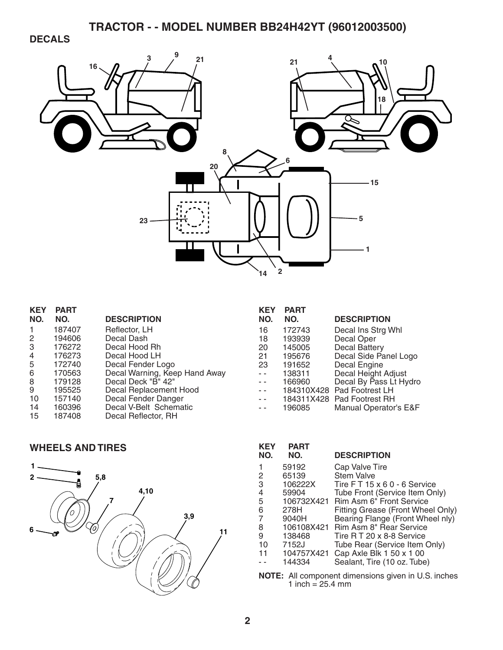### **DECALS**



| <b>KEY</b>     | <b>PART</b> |                               |
|----------------|-------------|-------------------------------|
| NO.            | NO.         | <b>DESCRIPTION</b>            |
| -1             | 187407      | Reflector, LH                 |
| 2              | 194606      | Decal Dash                    |
| 3              | 176272      | Decal Hood Rh                 |
| $\overline{4}$ | 176273      | Decal Hood LH                 |
| 5              | 172740      | Decal Fender Logo             |
| 6              | 170563      | Decal Warning, Keep Hand Away |
| 8              | 179128      | Decal Deck "B" 42"            |
| 9              | 195525      | Decal Replacement Hood        |
| 10             | 157140      | Decal Fender Danger           |
| 14             | 160396      | Decal V-Belt Schematic        |
| 15             | 187408      | Decal Reflector, RH           |
|                |             |                               |

| <b>KEY</b> | <b>PART</b> |                        |
|------------|-------------|------------------------|
| NO.        | NO.         | <b>DESCRIPTION</b>     |
| 16         | 172743      | Decal Ins Strg Whl     |
| 18         | 193939      | Decal Oper             |
| 20         | 145005      | <b>Decal Battery</b>   |
| 21         | 195676      | Decal Side Panel Logo  |
| 23         | 191652      | Decal Engine           |
| $\sim$     | 138311      | Decal Height Adjust    |
|            | 166960      | Decal By Pass Lt Hydro |
|            | 184310X428  | Pad Footrest LH        |
|            | 184311X428  | Pad Footrest RH        |
|            | 196085      | Manual Operator's E&F  |

### **WHEELS AND TIRES**



| KEY<br>NO.     | <b>PART</b><br>NO. | <b>DESCRIPTION</b>                 |
|----------------|--------------------|------------------------------------|
|                | 59192              | Cap Valve Tire                     |
| 2              | 65139              | <b>Stem Valve</b>                  |
| З              | 106222X            | Tire $FT 15 \times 60 - 6$ Service |
| 4              | 59904              | Tube Front (Service Item Only)     |
| 5              | 106732X421         | Rim Asm 6" Front Service           |
| 6              | 278H               | Fitting Grease (Front Wheel Only)  |
| $\overline{7}$ | 9040H              | Bearing Flange (Front Wheel nly)   |
| 8              | 106108X421         | Rim Asm 8" Rear Service            |
| 9              | 138468             | Tire R T 20 x 8-8 Service          |
| 10             | 7152J              | Tube Rear (Service Item Only)      |
| 11             | 104757X421         | Cap Axle Blk 1 50 x 1 00           |
|                | 144334             | Sealant, Tire (10 oz. Tube)        |

**NOTE:** All component dimensions given in U.S. inches 1 inch  $= 25.4$  mm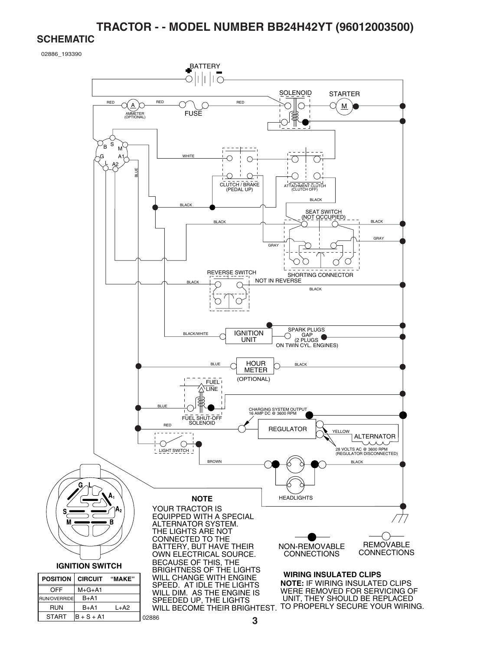#### **SCHEMATIC**

START  $\vert B + S + A1 \vert$ 

02886

02886\_193390

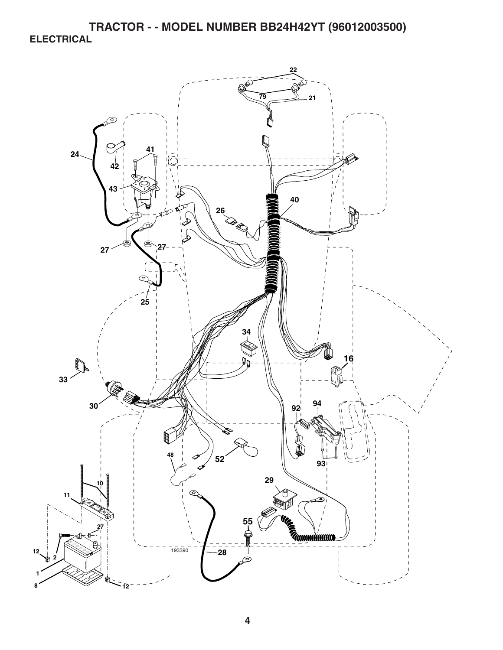**TRACTOR - - MODEL NUMBER BB24H42YT (96012003500) ELECTRICAL** 

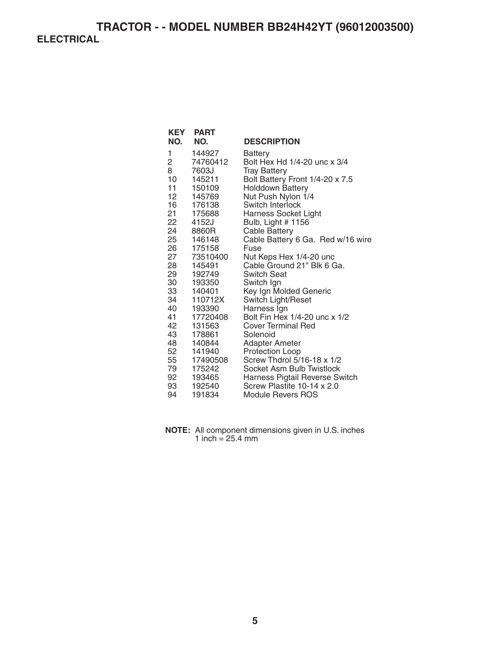### **TRACTOR - - MODEL NUMBER BB24H42YT (96012003500) ELECTRICAL**

| NO.      | <b>KEY PART</b><br>NO. | <b>DESCRIPTION</b>                        |
|----------|------------------------|-------------------------------------------|
| 1        | 144927                 | Battery                                   |
| 2        | 74760412               | Bolt Hex Hd 1/4-20 unc x 3/4              |
| 8        | 7603J                  | <b>Tray Battery</b>                       |
| 10       | 145211                 | Bolt Battery Front 1/4-20 x 7.5           |
| 11       | 150109                 | <b>Holddown Battery</b>                   |
| 12       | 145769                 | Nut Push Nylon 1/4                        |
| 16       | 176138                 | Switch Interlock                          |
| 21       | 175688                 | <b>Harness Socket Light</b>               |
| 22<br>24 | 4152J<br>8860R         | Bulb, Light # 1156                        |
| 25       | 146148                 | <b>Cable Battery</b>                      |
| 26       | 175158                 | Cable Battery 6 Ga. Red w/16 wire<br>Fuse |
| 27       | 73510400               | Nut Keps Hex 1/4-20 unc                   |
| 28       | 145491                 | Cable Ground 21" Blk 6 Ga.                |
| 29       | 192749                 | <b>Switch Seat</b>                        |
| 30       | 193350                 | Switch Ign                                |
| 33       | 140401                 | Key Ign Molded Generic                    |
| 34       | 110712X                | Switch Light/Reset                        |
| 40       | 193390                 | Harness Ign                               |
| 41       | 17720408               | Bolt Fin Hex 1/4-20 unc x 1/2             |
| 42       | 131563                 | Cover Terminal Red                        |
| 43       | 178861                 | Solenoid                                  |
| 48       | 140844                 | Adapter Ameter                            |
| 52       | 141940                 | Protection Loop                           |
| 55       | 17490508               | Screw Thdrol 5/16-18 x 1/2                |
| 79       | 175242                 | Socket Asm Bulb Twistlock                 |
| 92       | 193465                 | Harness Pigtail Reverse Switch            |
| 93       | 192540                 | Screw Plastite 10-14 x 2.0                |
| 94       | 191834                 | <b>Module Revers ROS</b>                  |

**NOTE:** All component dimensions given in U.S. inches 1 inch = 25.4 mm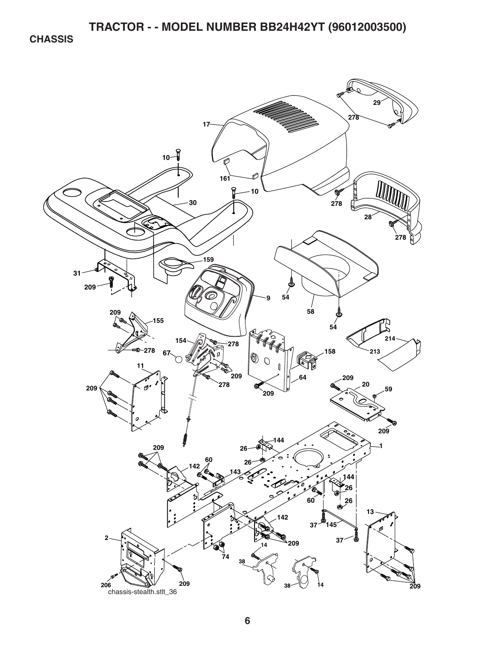**CHASSIS** 

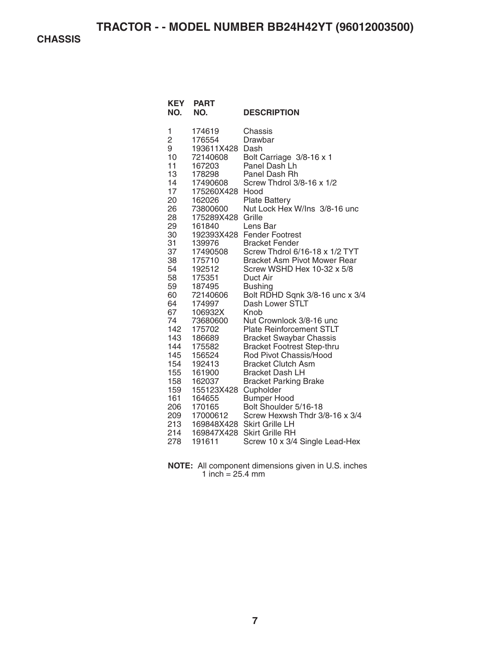**CHASSIS** 

| KEY<br>NO.                                                                                                                                                                                                                                  | <b>PART</b><br>NO.                                                                                                                                                                                                                                                                                                                                                                                          | <b>DESCRIPTION</b>                                                                                                                                                                                                                                                                                                                                                                                                                                                                                                                                                                                                                                                                                                                                                                                                                                                 |
|---------------------------------------------------------------------------------------------------------------------------------------------------------------------------------------------------------------------------------------------|-------------------------------------------------------------------------------------------------------------------------------------------------------------------------------------------------------------------------------------------------------------------------------------------------------------------------------------------------------------------------------------------------------------|--------------------------------------------------------------------------------------------------------------------------------------------------------------------------------------------------------------------------------------------------------------------------------------------------------------------------------------------------------------------------------------------------------------------------------------------------------------------------------------------------------------------------------------------------------------------------------------------------------------------------------------------------------------------------------------------------------------------------------------------------------------------------------------------------------------------------------------------------------------------|
| 1<br>$\overline{c}$<br>9<br>10<br>11<br>13<br>14<br>17<br>20<br>26<br>28<br>29<br>30<br>31<br>37<br>38<br>54<br>58<br>59<br>60<br>64<br>67<br>74<br>142<br>143<br>144<br>145<br>154<br>155<br>158<br>159<br>161<br>206<br>209<br>213<br>214 | 174619<br>176554<br>193611X428<br>72140608<br>167203<br>178298<br>17490608<br>175260X428<br>162026<br>73800600<br>175289X428<br>161840<br>139976<br>17490508<br>175710<br>192512<br>175351<br>187495<br>72140606<br>174997<br>106932X<br>73680600<br>175702<br>186689<br>175582<br>156524<br>192413<br>161900<br>162037<br>155123X428 Cupholder<br>164655<br>170165<br>17000612<br>169848X428<br>169847X428 | Chassis<br>Drawbar<br>Dash<br>Bolt Carriage 3/8-16 x 1<br>Panel Dash Lh<br>Panel Dash Rh<br>Screw Thdrol 3/8-16 x 1/2<br>Hood<br><b>Plate Battery</b><br>Nut Lock Hex W/Ins 3/8-16 unc<br>Grille<br>Lens Bar<br>192393X428 Fender Footrest<br><b>Bracket Fender</b><br>Screw Thdrol 6/16-18 x 1/2 TYT<br><b>Bracket Asm Pivot Mower Rear</b><br>Screw WSHD Hex 10-32 x 5/8<br>Duct Air<br><b>Bushing</b><br>Bolt RDHD Sqnk 3/8-16 unc x 3/4<br>Dash Lower STLT<br>Knob<br>Nut Crownlock 3/8-16 unc<br><b>Plate Reinforcement STLT</b><br><b>Bracket Swaybar Chassis</b><br><b>Bracket Footrest Step-thru</b><br>Rod Pivot Chassis/Hood<br><b>Bracket Clutch Asm</b><br><b>Bracket Dash LH</b><br><b>Bracket Parking Brake</b><br><b>Bumper Hood</b><br>Bolt Shoulder 5/16-18<br>Screw Hexwsh Thdr 3/8-16 x 3/4<br><b>Skirt Grille LH</b><br><b>Skirt Grille RH</b> |
| 278                                                                                                                                                                                                                                         | 191611                                                                                                                                                                                                                                                                                                                                                                                                      | Screw 10 x 3/4 Single Lead-Hex                                                                                                                                                                                                                                                                                                                                                                                                                                                                                                                                                                                                                                                                                                                                                                                                                                     |

**NOTE:** All component dimensions given in U.S. inches 1 inch  $= 25.4$  mm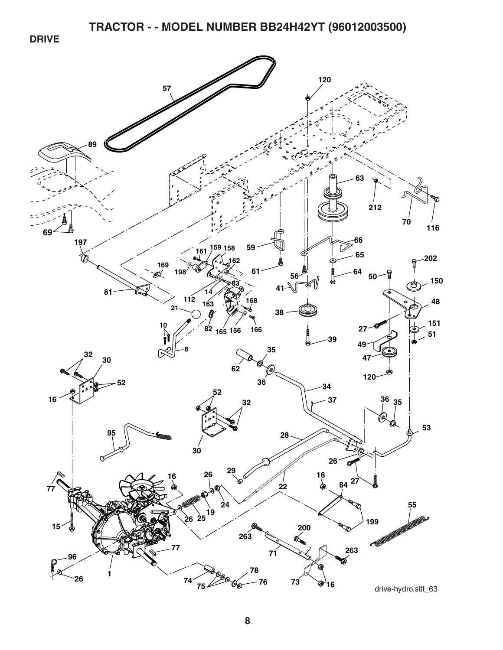**DRIVE** 



drive-hydro.stlt\_63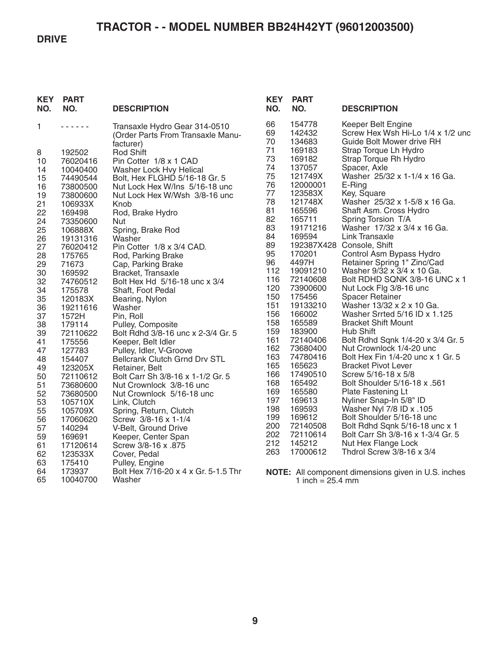#### **DRIVE**

| <b>KEY</b><br>NO. | <b>PART</b><br>NO.   | <b>DESCRIPTION</b>                                       | <b>KEY</b><br>NO. | <b>PART</b><br>NO.         | <b>DESCRIPTION</b>                                             |
|-------------------|----------------------|----------------------------------------------------------|-------------------|----------------------------|----------------------------------------------------------------|
| 1                 | .                    | Transaxle Hydro Gear 314-0510                            | 66                | 154778                     | Keeper Belt Engine                                             |
|                   |                      | (Order Parts From Transaxle Manu-                        | 69<br>70          | 142432<br>134683           | Screw Hex Wsh Hi-Lo 1/4 x 1/2 und<br>Guide Bolt Mower drive RH |
|                   |                      | facturer)                                                | 71                | 169183                     | Strap Torque Lh Hydro                                          |
| 8<br>10           | 192502               | <b>Rod Shift</b><br>Pin Cotter 1/8 x 1 CAD               | 73                | 169182                     | Strap Torque Rh Hydro                                          |
| 14                | 76020416             |                                                          | 74                | 137057                     | Spacer, Axle                                                   |
| 15                | 10040400<br>74490544 | Washer Lock Hvy Helical<br>Bolt, Hex FLGHD 5/16-18 Gr. 5 | 75                | 121749X                    | Washer 25/32 x 1-1/4 x 16 Ga.                                  |
| 16                | 73800500             | Nut Lock Hex W/Ins 5/16-18 unc                           | 76                | 12000001                   | E-Ring                                                         |
| 19                | 73800600             | Nut Lock Hex W/Wsh 3/8-16 unc                            | 77                | 123583X                    | Key, Square                                                    |
| 21                | 106933X              | Knob                                                     | 78                | 121748X                    | Washer 25/32 x 1-5/8 x 16 Ga.                                  |
| 22                | 169498               | Rod, Brake Hydro                                         | 81                | 165596                     | Shaft Asm. Cross Hydro                                         |
| 24                | 73350600             | Nut                                                      | 82                | 165711                     | Spring Torsion T/A                                             |
| 25                | 106888X              | Spring, Brake Rod                                        | 83                | 19171216                   | Washer 17/32 x 3/4 x 16 Ga.                                    |
| 26                | 19131316             | Washer                                                   | 84                | 169594                     | Link Transaxle                                                 |
| 27                | 76020412             | Pin Cotter 1/8 x 3/4 CAD.                                | 89                |                            | 192387X428 Console, Shift                                      |
| 28                | 175765               | Rod, Parking Brake                                       | 95                | 170201                     | Control Asm Bypass Hydro                                       |
| 29                | 71673                | Cap, Parking Brake                                       | 96                | 4497H                      | Retainer Spring 1" Zinc/Cad                                    |
| 30                | 169592               | Bracket, Transaxle                                       | 112               | 19091210                   | Washer 9/32 x 3/4 x 10 Ga.                                     |
| 32                | 74760512             | Bolt Hex Hd 5/16-18 unc x 3/4                            | 116               | 72140608                   | Bolt RDHD SQNK 3/8-16 UNC x 1                                  |
| 34                | 175578               | Shaft, Foot Pedal                                        | 120               | 73900600                   | Nut Lock Flg 3/8-16 unc                                        |
| 35                | 120183X              | Bearing, Nylon                                           | 150               | 175456                     | <b>Spacer Retainer</b>                                         |
| 36                | 19211616             | Washer                                                   | 151<br>156        | 19133210                   | Washer 13/32 x 2 x 10 Ga.                                      |
| 37                | 1572H                | Pin, Roll                                                | 158               | 166002<br>165589           | Washer Srrted 5/16 ID x 1.125<br><b>Bracket Shift Mount</b>    |
| 38                | 179114               | Pulley, Composite                                        | 159               | 183900                     | Hub Shift                                                      |
| 39                | 72110622             | Bolt Rdhd 3/8-16 unc x 2-3/4 Gr. 5                       | 161               | 72140406                   | Bolt Rdhd Sqnk 1/4-20 x 3/4 Gr. 5                              |
| 41<br>47          | 175556               | Keeper, Belt Idler                                       | 162               | 73680400                   | Nut Crownlock 1/4-20 unc                                       |
| 48                | 127783<br>154407     | Pulley, Idler, V-Groove<br>Bellcrank Clutch Grnd Drv STL | 163               | 74780416                   | Bolt Hex Fin 1/4-20 unc x 1 Gr. 5                              |
| 49                | 123205X              | Retainer, Belt                                           | 165               | 165623                     | <b>Bracket Pivot Lever</b>                                     |
| 50                | 72110612             | Bolt Carr Sh 3/8-16 x 1-1/2 Gr. 5                        | 166               | 17490510                   | Screw 5/16-18 x 5/8                                            |
| 51                | 73680600             | Nut Crownlock 3/8-16 unc                                 | 168               | 165492                     | Bolt Shoulder 5/16-18 x .561                                   |
| 52                | 73680500             | Nut Crownlock 5/16-18 unc                                | 169               | 165580                     | Plate Fastening Lt                                             |
| 53                | 105710X              | Link, Clutch                                             | 197               | 169613                     | Nyliner Snap-In 5/8" ID                                        |
| 55                | 105709X              | Spring, Return, Clutch                                   | 198               | 169593                     | Washer Nyl 7/8 ID x .105                                       |
| 56                | 17060620             | Screw 3/8-16 x 1-1/4                                     | 199               | 169612                     | Bolt Shoulder 5/16-18 unc                                      |
| 57                | 140294               | V-Belt, Ground Drive                                     | 200               | 72140508                   | Bolt Rdhd Sqnk 5/16-18 unc x 1                                 |
| 59                | 169691               | Keeper, Center Span                                      | 202               | 72110614                   | Bolt Carr Sh 3/8-16 x 1-3/4 Gr. 5                              |
| 61                | 17120614             | Screw 3/8-16 x .875                                      | 212               | 145212                     | Nut Hex Flange Lock                                            |
| 62                | 123533X              | Cover, Pedal                                             | 263               | 17000612                   | Thdrol Screw 3/8-16 x 3/4                                      |
| 63                | 175410               | Pulley, Engine                                           |                   |                            |                                                                |
| 64                | 173937               | Bolt Hex 7/16-20 x 4 x Gr. 5-1.5 Thr                     |                   |                            | <b>NOTE:</b> All component dimensions given in U.S. inches     |
| 65                | 10040700             | Washer                                                   |                   | 1 inch = $25.4 \text{ mm}$ |                                                                |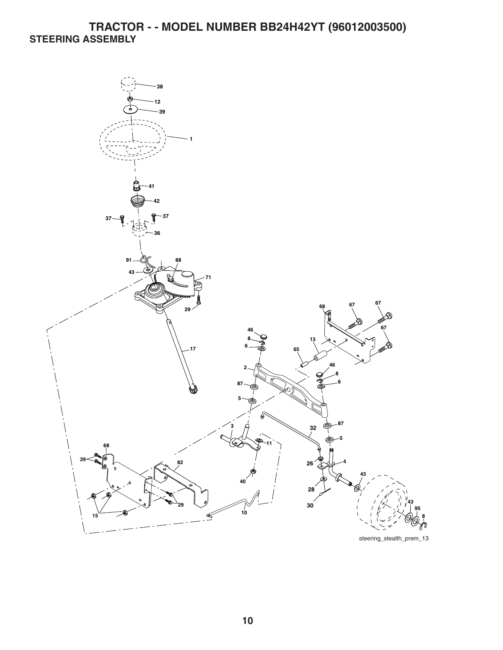## **TRACTOR - - MODEL NUMBER BB24H42YT (96012003500) STEERING ASSEMBLY**



steering\_stealth\_prem\_13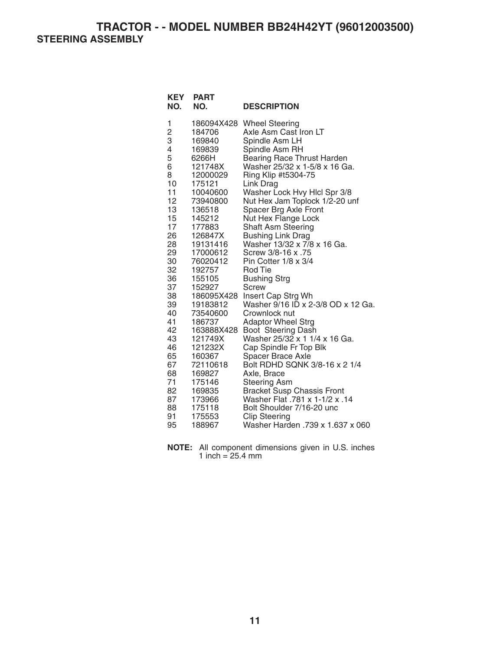**TRACTOR - - MODEL NUMBER BB24H42YT (96012003500) STEERING ASSEMBLY** 

| KEY<br>NO.                                                                                                                                                                                                     | <b>PART</b><br>NO.                                                                                                                                                                                                                                                                                                                                                                          | <b>DESCRIPTION</b>                                                                                                                                                                                                                                                                                                                                                                                                                                                                                                                                                                                                                                                                                                                                                                                                                                                                                                        |
|----------------------------------------------------------------------------------------------------------------------------------------------------------------------------------------------------------------|---------------------------------------------------------------------------------------------------------------------------------------------------------------------------------------------------------------------------------------------------------------------------------------------------------------------------------------------------------------------------------------------|---------------------------------------------------------------------------------------------------------------------------------------------------------------------------------------------------------------------------------------------------------------------------------------------------------------------------------------------------------------------------------------------------------------------------------------------------------------------------------------------------------------------------------------------------------------------------------------------------------------------------------------------------------------------------------------------------------------------------------------------------------------------------------------------------------------------------------------------------------------------------------------------------------------------------|
| 1<br>$\frac{2}{3}$<br>4<br>5<br>6<br>8<br>10<br>11<br>12<br>13<br>15<br>17<br>26<br>28<br>29<br>30<br>32<br>36<br>37<br>38<br>39<br>40<br>41<br>42<br>43<br>46<br>65<br>67<br>68<br>71<br>82<br>87<br>88<br>91 | 186094X428<br>184706<br>169840<br>169839<br>6266H<br>121748X<br>12000029<br>175121<br>10040600<br>73940800<br>136518<br>145212<br>177883<br>126847X<br>19131416<br>17000612<br>76020412<br>192757<br>155105<br>152927<br>186095X428<br>19183812<br>73540600<br>186737<br>163888X428<br>121749X<br>121232X<br>160367<br>72110618<br>169827<br>175146<br>169835<br>173966<br>175118<br>175553 | <b>Wheel Steering</b><br>Axle Asm Cast Iron LT<br>Spindle Asm LH<br>Spindle Asm RH<br>Bearing Race Thrust Harden<br>Washer 25/32 x 1-5/8 x 16 Ga.<br>Ring Klip #t5304-75<br>Link Drag<br>Washer Lock Hvy Hlcl Spr 3/8<br>Nut Hex Jam Toplock 1/2-20 unf<br>Spacer Brg Axle Front<br>Nut Hex Flange Lock<br><b>Shaft Asm Steering</b><br><b>Bushing Link Drag</b><br>Washer 13/32 x 7/8 x 16 Ga.<br>Screw 3/8-16 x .75<br>Pin Cotter $1/8 \times 3/4$<br>Rod Tie<br><b>Bushing Strg</b><br>Screw<br>Insert Cap Strg Wh<br>Washer 9/16 ID x 2-3/8 OD x 12 Ga.<br>Crownlock nut<br><b>Adaptor Wheel Strg</b><br>Boot Steering Dash<br>Washer 25/32 x 1 1/4 x 16 Ga.<br>Cap Spindle Fr Top Blk<br><b>Spacer Brace Axle</b><br>Bolt RDHD SQNK 3/8-16 x 2 1/4<br>Axle, Brace<br><b>Steering Asm</b><br><b>Bracket Susp Chassis Front</b><br>Washer Flat .781 x 1-1/2 x .14<br>Bolt Shoulder 7/16-20 unc<br><b>Clip Steering</b> |
| 95                                                                                                                                                                                                             | 188967                                                                                                                                                                                                                                                                                                                                                                                      | Washer Harden .739 x 1.637 x 060                                                                                                                                                                                                                                                                                                                                                                                                                                                                                                                                                                                                                                                                                                                                                                                                                                                                                          |

**NOTE:** All component dimensions given in U.S. inches 1 inch =  $25.4 \, \text{mm}$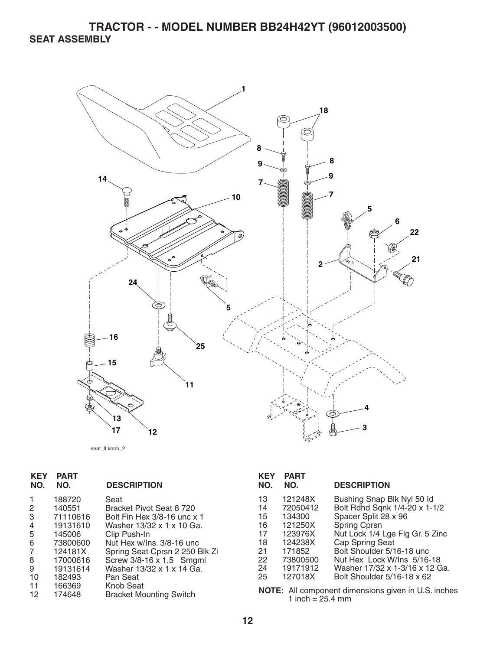

seat\_lt.knob\_2

| <b>KEY</b><br>NO. | <b>PART</b><br>NO. | <b>DESCRIPTION</b>                                 | <b>KEY</b><br>NO. | <b>PART</b><br>NO. | <b>DESCRIPTION</b>                                  |
|-------------------|--------------------|----------------------------------------------------|-------------------|--------------------|-----------------------------------------------------|
|                   | 188720             | Seat                                               | 13                | 121248X            | Bushing Snap Blk Nyl 50 ld                          |
| 2                 | 140551             | Bracket Pivot Seat 8 720                           | 14                | 72050412           | Bolt Rdhd Sqnk 1/4-20 x 1-1/2                       |
| 3                 | 71110616           | Bolt Fin Hex 3/8-16 unc x 1                        | 15                | 134300             | Spacer Split 28 x 96                                |
| 4                 | 19131610           | Washer 13/32 x 1 x 10 Ga.                          | 16                | 121250X            | Spring Cprsn                                        |
| 5                 | 145006             | Clip Push-In                                       | 17                | 123976X            | Nut Lock 1/4 Lge Flg Gr. 5 Zinc                     |
| 6                 | 73800600           | Nut Hex w/Ins. 3/8-16 unc                          | 18                | 124238X            | Cap Spring Seat                                     |
|                   | 124181X            | Spring Seat Cprsn 2 250 Blk Zi                     | 21                | 171852             | Bolt Shoulder 5/16-18 unc                           |
| 8                 | 17000616           | Screw 3/8-16 x 1.5 Smgml                           | 22                | 73800500           | Nut Hex Lock W/Ins 5/16-18                          |
| 9                 | 19131614           | Washer 13/32 x 1 x 14 Ga.                          | 24                | 19171912           | Washer 17/32 x 1-3/16 x 12 Ga.                      |
| 10                | 182493             | Pan Seat                                           | 25                | 127018X            | Bolt Shoulder 5/16-18 x 62                          |
| 11<br>12          | 166369<br>174648   | <b>Knob Seat</b><br><b>Bracket Mounting Switch</b> |                   | 1 inch = $25.4$ mm | NOTE: All component dimensions given in U.S. inches |

**12**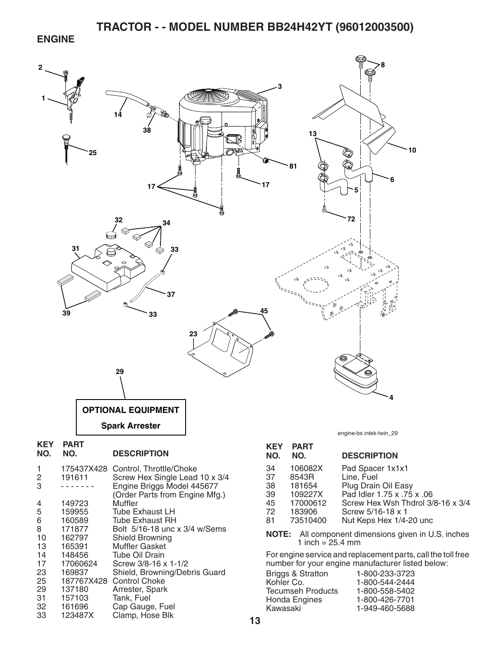#### **ENGINE**



32 161696 Cap Gauge, Fuel<br>33 123487X Clamp. Hose Blk

Clamp, Hose Blk

1-949-460-5688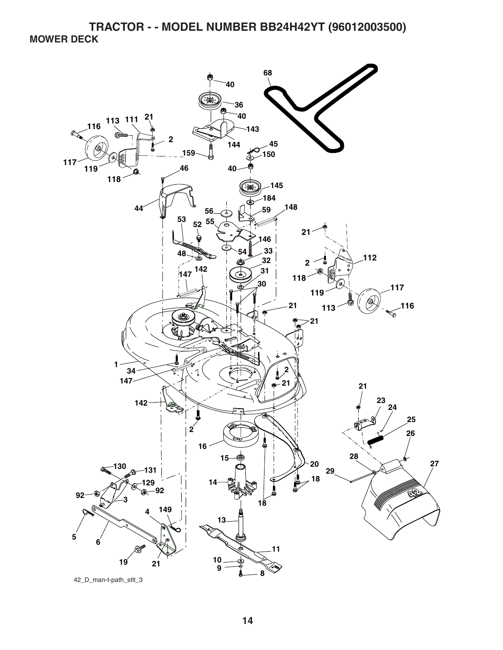**TRACTOR - - MODEL NUMBER BB24H42YT (96012003500) MOWER DECK** 

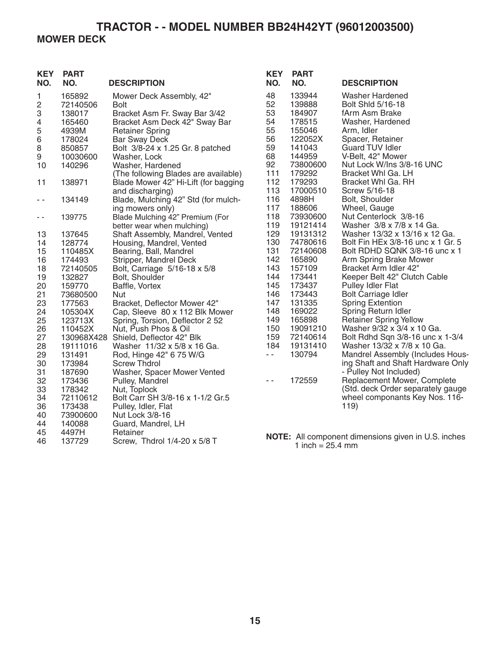## **TRACTOR - - MODEL NUMBER BB24H42YT (96012003500) MOWER DECK**

| <b>KEY</b><br>NO. | <b>PART</b><br>NO. | <b>DESCRIPTION</b>                   | <b>KEY</b><br>NO. | <b>PART</b><br>NO.                                 | <b>DESCRIPTION</b>                                  |
|-------------------|--------------------|--------------------------------------|-------------------|----------------------------------------------------|-----------------------------------------------------|
| 1                 | 165892             | Mower Deck Assembly, 42"             | 48                | 133944                                             | <b>Washer Hardened</b>                              |
| $\overline{c}$    | 72140506           | <b>Bolt</b>                          | 52                | 139888                                             | Bolt Shid 5/16-18                                   |
| 3                 | 138017             | Bracket Asm Fr. Sway Bar 3/42        | 53                | 184907                                             | fArm Asm Brake                                      |
| 4                 | 165460             | Bracket Asm Deck 42" Sway Bar        | 54                | 178515                                             | Washer, Hardened                                    |
| 5                 | 4939M              | <b>Retainer Spring</b>               | 55                | 155046                                             | Arm, Idler                                          |
| 6                 | 178024             | <b>Bar Sway Deck</b>                 | 56                | 122052X                                            | Spacer, Retainer                                    |
| 8                 | 850857             | Bolt 3/8-24 x 1.25 Gr. 8 patched     | 59                | 141043                                             | <b>Guard TUV Idler</b>                              |
| $\boldsymbol{9}$  | 10030600           | Washer, Lock                         | 68                | 144959                                             | V-Belt, 42" Mower                                   |
| 10                | 140296             | Washer, Hardened                     | 92                | 73800600                                           | Nut Lock W/Ins 3/8-16 UNC                           |
|                   |                    | (The following Blades are available) | 111               | 179292                                             | Bracket Whl Ga. LH                                  |
| 11                | 138971             | Blade Mower 42" Hi-Lift (for bagging | 112               | 179293                                             | Bracket Whl Ga. RH                                  |
|                   |                    | and discharging)                     | 113               | 17000510                                           | Screw 5/16-18                                       |
| $\sim$ $\sim$     | 134149             | Blade, Mulching 42" Std (for mulch-  | 116               | 4898H                                              | Bolt, Shoulder                                      |
|                   |                    | ing mowers only)                     | 117               | 188606                                             | Wheel, Gauge                                        |
| - -               | 139775             | Blade Mulching 42" Premium (For      | 118               | 73930600                                           | Nut Centerlock 3/8-16                               |
|                   |                    | better wear when mulching)           | 119               | 19121414                                           | Washer 3/8 x 7/8 x 14 Ga.                           |
| 13                | 137645             | Shaft Assembly, Mandrel, Vented      | 129               | 19131312                                           | Washer 13/32 x 13/16 x 12 Ga.                       |
| 14                | 128774             | Housing, Mandrel, Vented             | 130               | 74780616                                           | Bolt Fin HEx 3/8-16 unc x 1 Gr. 5                   |
| 15                | 110485X            | Bearing, Ball, Mandrel               | 131               | 72140608                                           | Bolt RDHD SQNK 3/8-16 unc x 1                       |
| 16                | 174493             | Stripper, Mandrel Deck               | 142               | 165890                                             | Arm Spring Brake Mower                              |
| 18                | 72140505           | Bolt, Carriage 5/16-18 x 5/8         | 143               | 157109                                             | Bracket Arm Idler 42"                               |
| 19                | 132827             | Bolt, Shoulder                       | 144               | 173441                                             | Keeper Belt 42" Clutch Cable                        |
| 20                | 159770             | Baffle, Vortex                       | 145               | 173437                                             | Pulley Idler Flat                                   |
| 21                | 73680500           | Nut                                  | 146               | 173443                                             | <b>Bolt Carriage Idler</b>                          |
| 23                | 177563             | Bracket, Deflector Mower 42"         | 147               | 131335                                             | <b>Spring Extention</b>                             |
| 24                | 105304X            | Cap, Sleeve 80 x 112 Blk Mower       | 148               | 169022                                             | Spring Return Idler                                 |
| 25                | 123713X            | Spring, Torsion, Deflector 2 52      | 149               | 165898                                             | <b>Retainer Spring Yellow</b>                       |
| 26                | 110452X            | Nut, Push Phos & Oil                 | 150               | 19091210                                           | Washer 9/32 x 3/4 x 10 Ga.                          |
| 27                |                    | 130968X428 Shield, Deflector 42" Blk | 159               | 72140614                                           | Bolt Rdhd Sqn 3/8-16 unc x 1-3/4                    |
| 28                | 19111016           | Washer 11/32 x 5/8 x 16 Ga.          | 184               | 19131410                                           | Washer 13/32 x 7/8 x 10 Ga.                         |
| 29                | 131491             | Rod, Hinge 42" 6 75 W/G              | $\sim$ $-$        | 130794                                             | Mandrel Assembly (Includes Hous-                    |
| 30                | 173984             | <b>Screw Thdrol</b>                  |                   |                                                    | ing Shaft and Shaft Hardware Only                   |
| 31                | 187690             | Washer, Spacer Mower Vented          |                   |                                                    | - Pulley Not Included)                              |
| 32                | 173436             | Pulley, Mandrel                      | $\sim$ $\sim$     | 172559                                             | Replacement Mower, Complete                         |
| 33                | 178342             | Nut, Toplock                         |                   |                                                    | (Std. deck Order separately gauge                   |
| 34                | 72110612           | Bolt Carr SH 3/8-16 x 1-1/2 Gr.5     |                   |                                                    | wheel componants Key Nos. 116-                      |
| 36                | 173438             | Pulley, Idler, Flat                  |                   |                                                    | 119)                                                |
| 40                | 73900600           | Nut Lock 3/8-16                      |                   |                                                    |                                                     |
| 44                | 140088             | Guard, Mandrel, LH                   |                   |                                                    |                                                     |
| 45                | 4497H              | Retainer                             |                   |                                                    |                                                     |
| 46                | 137729             | Screw, Thdrol 1/4-20 x 5/8 T         |                   | $\frac{1}{2}$ in $\frac{1}{2}$ OF $\frac{1}{2}$ mm | NOTE: All component dimensions given in U.S. inches |

**NOTE:** All component dimensions given in U.S. inches 1 inch  $= 25.4$  mm